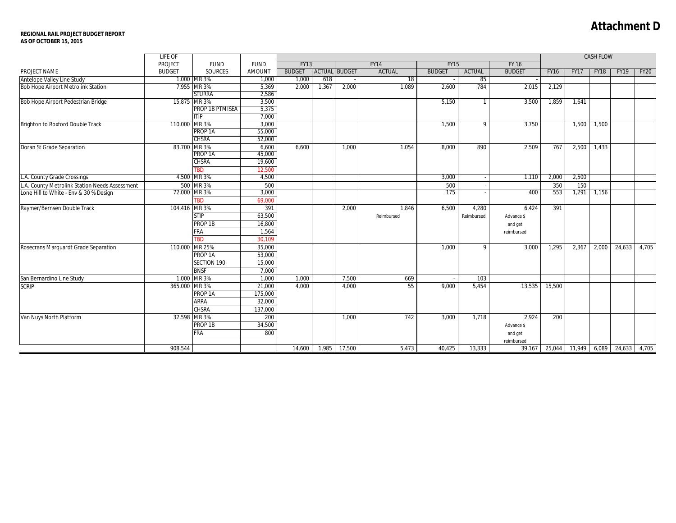## **Attachment D**

## **REGIONAL RAIL PROJECT BUDGET REPORT AS OF OCTOBER 15, 2015**

|                                                | LIFE OF       |                                    |                 |                            |       |                      |            |               | <b>CASH FLOW</b> |               |                     |             |             |                    |       |
|------------------------------------------------|---------------|------------------------------------|-----------------|----------------------------|-------|----------------------|------------|---------------|------------------|---------------|---------------------|-------------|-------------|--------------------|-------|
|                                                | PROJECT       | <b>FUND</b>                        | <b>FUND</b>     | <b>FY13</b><br><b>FY14</b> |       |                      |            | <b>FY15</b>   |                  |               |                     |             |             |                    |       |
| PROJECT NAME                                   | <b>BUDGET</b> | <b>SOURCES</b>                     | <b>AMOUNT</b>   | <b>BUDGET</b>              |       | <b>ACTUAL BUDGET</b> | ACTUAL     | <b>BUDGET</b> | ACTUAL           | <b>BUDGET</b> | <b>FY16</b>         | <b>FY17</b> | <b>FY18</b> | <b>FY19</b>        | FY20  |
| Antelope Valley Line Study                     |               | 1,000 MR 3%                        | 1,000           | 1,000                      | 618   |                      | 18         |               | 85               |               |                     |             |             |                    |       |
| Bob Hope Airport Metrolink Station             |               | 7,955 MR 3%                        | 5,369           | 2,000                      | 1,367 | 2,000                | 1,089      | 2,600         | 784              | 2,015         | 2,129               |             |             |                    |       |
|                                                |               | <b>STURRA</b>                      | 2,586           |                            |       |                      |            |               |                  |               |                     |             |             |                    |       |
| <b>Bob Hope Airport Pedestrian Bridge</b>      |               | 15,875 MR 3%                       | 3,500           |                            |       |                      |            | 5,150         |                  | 3,500         | 1,859               | 1,641       |             |                    |       |
|                                                |               | PROP 1B PTMISEA                    | 5,375           |                            |       |                      |            |               |                  |               |                     |             |             |                    |       |
|                                                |               | <b>ITIP</b>                        | 7,000           |                            |       |                      |            |               |                  |               |                     |             |             |                    |       |
| Brighton to Roxford Double Track               | 110,000 MR 3% |                                    | 3,000           |                            |       |                      |            | 1,500         | 9                | 3.750         |                     | 1,500       | 1,500       |                    |       |
|                                                |               | PROP <sub>1A</sub><br><b>CHSRA</b> | 55,000          |                            |       |                      |            |               |                  |               |                     |             |             |                    |       |
|                                                |               |                                    | 52,000          |                            |       |                      |            |               |                  |               |                     |             |             |                    |       |
| Doran St Grade Separation                      | 83,700 MR 3%  | PROP <sub>1A</sub>                 | 6,600<br>45,000 | 6,600                      |       | 1,000                | 1,054      | 8,000         | 890              | 2,509         | 767                 | 2,500       | 1,433       |                    |       |
|                                                |               | <b>CHSRA</b>                       | 19,600          |                            |       |                      |            |               |                  |               |                     |             |             |                    |       |
|                                                |               | TBD                                | 12,500          |                            |       |                      |            |               |                  |               |                     |             |             |                    |       |
| L.A. County Grade Crossings                    |               | 4,500 MR 3%                        | 4,500           |                            |       |                      |            | 3,000         |                  | 1,110         | 2,000               | 2,500       |             |                    |       |
| L.A. County Metrolink Station Needs Assessment |               | 500 MR 3%                          | 500             |                            |       |                      |            | 500           |                  |               | 350                 | 150         |             |                    |       |
| Lone Hill to White - Env & 30 % Design         |               | 72,000 MR 3%                       | 3,000           |                            |       |                      |            | 175           |                  | 400           | 553                 | 1,291       | 1,156       |                    |       |
|                                                |               | <b>TBD</b>                         | 69,000          |                            |       |                      |            |               |                  |               |                     |             |             |                    |       |
| Raymer/Bernsen Double Track                    | 104,416 MR 3% |                                    | 391             |                            |       | 2,000                | 1.846      | 6,500         | 4,280            | 6.424         | 391                 |             |             |                    |       |
|                                                |               | <b>STIP</b>                        | 63,500          |                            |       |                      | Reimbursed |               | Reimbursed       | Advance \$    |                     |             |             |                    |       |
|                                                |               | PROP 1B                            | 16,800          |                            |       |                      |            |               |                  | and get       |                     |             |             |                    |       |
|                                                |               | <b>FRA</b>                         | 1,564           |                            |       |                      |            |               |                  | reimbursed    |                     |             |             |                    |       |
|                                                |               | <b>TBD</b>                         | 30.109          |                            |       |                      |            |               |                  |               |                     |             |             |                    |       |
| Rosecrans Marquardt Grade Separation           | 110,000       | MR 25%                             | 35,000          |                            |       |                      |            | 1,000         | 9                | 3,000         | 1,295               | 2,367       | 2,000       | 24,633             | 4,705 |
|                                                |               | PROP <sub>1A</sub>                 | 53,000          |                            |       |                      |            |               |                  |               |                     |             |             |                    |       |
|                                                |               | SECTION 190                        | 15,000          |                            |       |                      |            |               |                  |               |                     |             |             |                    |       |
|                                                |               | <b>BNSF</b>                        | 7,000           |                            |       |                      |            |               |                  |               |                     |             |             |                    |       |
| San Bernardino Line Study                      | 1,000         | MR 3%                              | 1,000           | 1,000                      |       | 7,500                | 669        |               | 103              |               |                     |             |             |                    |       |
| <b>SCRIP</b>                                   | 365,000       | <b>MR3%</b>                        | 21,000          | 4.000                      |       | 4.000                | 55         | 9.000         | 5.454            | 13.535        | 15,500              |             |             |                    |       |
|                                                |               | PROP <sub>1A</sub>                 | 175,000         |                            |       |                      |            |               |                  |               |                     |             |             |                    |       |
|                                                |               | ARRA                               | 32,000          |                            |       |                      |            |               |                  |               |                     |             |             |                    |       |
|                                                |               | <b>CHSRA</b>                       | 137,000         |                            |       |                      |            |               |                  |               |                     |             |             |                    |       |
| Van Nuys North Platform                        |               | 32,598 MR 3%                       | 200             |                            |       | 1,000                | 742        | 3.000         | 1,718            | 2.924         | 200                 |             |             |                    |       |
|                                                |               | PROP 1B                            | 34,500          |                            |       |                      |            |               |                  | Advance \$    |                     |             |             |                    |       |
|                                                |               | <b>FRA</b>                         | 800             |                            |       |                      |            |               |                  | and get       |                     |             |             |                    |       |
|                                                |               |                                    |                 |                            |       |                      |            |               |                  | reimbursed    |                     |             |             |                    |       |
|                                                | 908.544       |                                    |                 | 14,600                     |       | 1,985 17,500         | 5.473      | 40,425        | 13,333           | 39,167        | $\overline{25,044}$ | 11,949      |             | 6,089 24,633 4,705 |       |